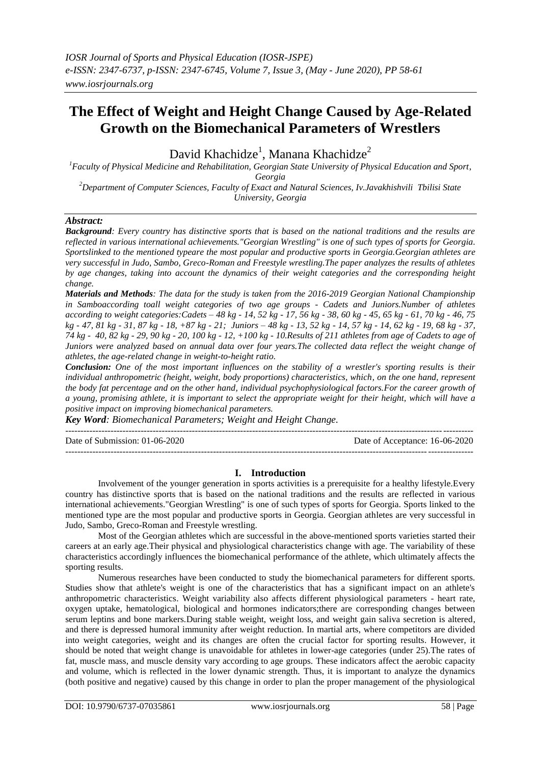# **The Effect of Weight and Height Change Caused by Age-Related Growth on the Biomechanical Parameters of Wrestlers**

David Khachidze $^1$ , Manana Khachidze $^2$ 

*<sup>1</sup>Faculty of Physical Medicine and Rehabilitation, Georgian State University of Physical Education and Sport, Georgia*

*<sup>2</sup>Department of Computer Sciences, Faculty of Exact and Natural Sciences, Iv.Javakhishvili Tbilisi State University, Georgia*

# *Abstract:*

*Background: Every country has distinctive sports that is based on the national traditions and the results are reflected in various international achievements."Georgian Wrestling" is one of such types of sports for Georgia. Sportslinked to the mentioned typeare the most popular and productive sports in Georgia.Georgian athletes are very successful in Judo, Sambo, Greco-Roman and Freestyle wrestling.The paper analyzes the results of athletes by age changes, taking into account the dynamics of their weight categories and the corresponding height change.*

*Materials and Methods: The data for the study is taken from the 2016-2019 Georgian National Championship in Samboaccording toall weight categories of two age groups - Cadets and Juniors.Number of athletes according to weight categories:Cadets – 48 kg - 14, 52 kg - 17, 56 kg - 38, 60 kg - 45, 65 kg - 61, 70 kg - 46, 75*   $kg - 47$ ,  $81 kg - 31$ ,  $87 kg - 18$ ,  $+87 kg - 21$ ; Juniors  $-48 kg - 13$ ,  $52 kg - 14$ ,  $57 kg - 14$ ,  $62 kg - 19$ ,  $68 kg - 37$ , *74 kg - 40, 82 kg - 29, 90 kg - 20, 100 kg - 12, +100 kg - 10.Results of 211 athletes from age of Cadets to age of Juniors were analyzed based on annual data over four years.The collected data reflect the weight change of athletes, the age-related change in weight-to-height ratio.*

*Conclusion: One of the most important influences on the stability of a wrestler's sporting results is their individual anthropometric (height, weight, body proportions) characteristics, which, on the one hand, represent the body fat percentage and on the other hand, individual psychophysiological factors.For the career growth of a young, promising athlete, it is important to select the appropriate weight for their height, which will have a positive impact on improving biomechanical parameters.*

*Key Word: Biomechanical Parameters; Weight and Height Change.* 

| Date of Submission: $01-06-2020$ | Date of Acceptance: 16-06-2020 |
|----------------------------------|--------------------------------|
|                                  |                                |

# **I. Introduction**

Involvement of the younger generation in sports activities is a prerequisite for a healthy lifestyle.Every country has distinctive sports that is based on the national traditions and the results are reflected in various international achievements."Georgian Wrestling" is one of such types of sports for Georgia. Sports linked to the mentioned type are the most popular and productive sports in Georgia. Georgian athletes are very successful in Judo, Sambo, Greco-Roman and Freestyle wrestling.

Most of the Georgian athletes which are successful in the above-mentioned sports varieties started their careers at an early age.Their physical and physiological characteristics change with age. The variability of these characteristics accordingly influences the biomechanical performance of the athlete, which ultimately affects the sporting results.

Numerous researches have been conducted to study the biomechanical parameters for different sports. Studies show that athlete's weight is one of the characteristics that has a significant impact on an athlete's anthropometric characteristics. Weight variability also affects different physiological parameters - heart rate, oxygen uptake, hematological, biological and hormones indicators;there are corresponding changes between serum leptins and bone markers.During stable weight, weight loss, and weight gain saliva secretion is altered, and there is depressed humoral immunity after weight reduction. In martial arts, where competitors are divided into weight categories, weight and its changes are often the crucial factor for sporting results. However, it should be noted that weight change is unavoidable for athletes in lower-age categories (under 25).The rates of fat, muscle mass, and muscle density vary according to age groups. These indicators affect the aerobic capacity and volume, which is reflected in the lower dynamic strength. Thus, it is important to analyze the dynamics (both positive and negative) caused by this change in order to plan the proper management of the physiological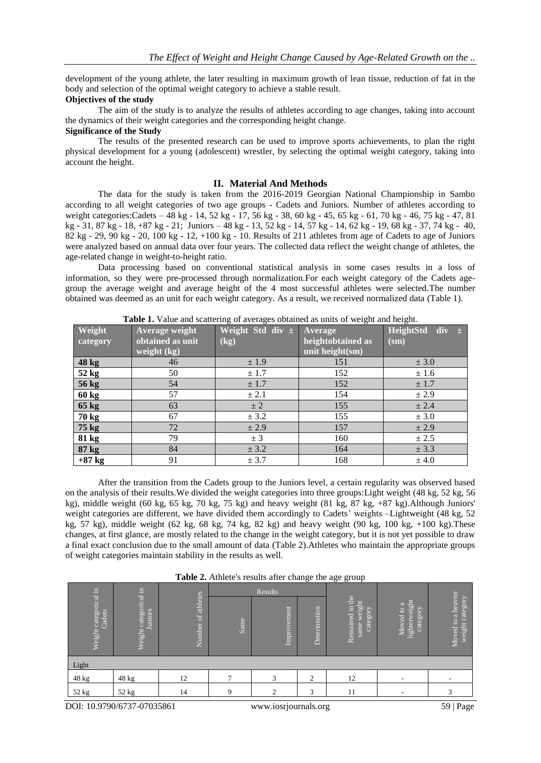development of the young athlete, the later resulting in maximum growth of lean tissue, reduction of fat in the body and selection of the optimal weight category to achieve a stable result.

### **Objectives of the study**

The aim of the study is to analyze the results of athletes according to age changes, taking into account the dynamics of their weight categories and the corresponding height change.

# **Significance of the Study**

The results of the presented research can be used to improve sports achievements, to plan the right physical development for a young (adolescent) wrestler, by selecting the optimal weight category, taking into account the height.

## **II. Material And Methods**

The data for the study is taken from the 2016-2019 Georgian National Championship in Sambo according to all weight categories of two age groups - Cadets and Juniors. Number of athletes according to weight categories:Cadets – 48 kg - 14, 52 kg - 17, 56 kg - 38, 60 kg - 45, 65 kg - 61, 70 kg - 46, 75 kg - 47, 81 kg - 31, 87 kg - 18, +87 kg - 21; Juniors – 48 kg - 13, 52 kg - 14, 57 kg - 14, 62 kg - 19, 68 kg - 37, 74 kg - 40, 82 kg  $-$  29, 90 kg  $-$  20, 100 kg  $-$  12,  $+100$  kg  $-$  10. Results of 211 athletes from age of Cadets to age of Juniors were analyzed based on annual data over four years. The collected data reflect the weight change of athletes, the age-related change in weight-to-height ratio.

Data processing based on conventional statistical analysis in some cases results in a loss of information, so they were pre-processed through normalization.For each weight category of the Cadets agegroup the average weight and average height of the 4 most successful athletes were selected.The number obtained was deemed as an unit for each weight category. As a result, we received normalized data (Table 1).

| <b>Table 1.</b> Value and seattering of averages obtained as units of weight and height. |                  |                          |                             |                     |  |  |  |  |  |
|------------------------------------------------------------------------------------------|------------------|--------------------------|-----------------------------|---------------------|--|--|--|--|--|
| Weight                                                                                   | Average weight   | Weight Std div ± Average |                             | HeightStd div $\pm$ |  |  |  |  |  |
| category                                                                                 | obtained as unit | (kg)                     | heightobtained as           | $(sm)$              |  |  |  |  |  |
|                                                                                          | weight $(kg)$    |                          | unit height $(\mathbf{sm})$ |                     |  |  |  |  |  |
| 48 kg                                                                                    | 46               | ± 1.9                    | 151                         | ± 3.0               |  |  |  |  |  |
| 52 kg                                                                                    | 50               | ± 1.7                    | 152                         | ± 1.6               |  |  |  |  |  |
| 56 kg                                                                                    | 54               | ± 1.7                    | 152                         | ± 1.7               |  |  |  |  |  |
| $60 \text{ kg}$                                                                          | 57               | ± 2.1                    | 154                         | ± 2.9               |  |  |  |  |  |
| $65$ kg                                                                                  | 63               | $\pm 2$                  | 155                         | ± 2.4               |  |  |  |  |  |
| 70 kg                                                                                    | 67               | ± 3.2                    | 155                         | ± 3.0               |  |  |  |  |  |
| 75 kg                                                                                    | 72               | ± 2.9                    | 157                         | ± 2.9               |  |  |  |  |  |
| 81 kg                                                                                    | 79               | $\pm$ 3                  | 160                         | ± 2.5               |  |  |  |  |  |
| 87 kg                                                                                    | 84               | ± 3.2                    | 164                         | ± 3.3               |  |  |  |  |  |
| $+87$ kg                                                                                 | 91               | ± 3.7                    | 168                         | ± 4.0               |  |  |  |  |  |

**Table 1.** Value and scattering of averages obtained as units of weight and height.

After the transition from the Cadets group to the Juniors level, a certain regularity was observed based on the analysis of their results.We divided the weight categories into three groups:Light weight (48 kg, 52 kg, 56 kg), middle weight (60 kg, 65 kg, 70 kg, 75 kg) and heavy weight (81 kg, 87 kg, +87 kg).Although Juniors' weight categories are different, we have divided them accordingly to Cadets' weights –Lightweight (48 kg, 52 kg, 57 kg), middle weight  $(62 \text{ kg}, 68 \text{ kg}, 74 \text{ kg}, 82 \text{ kg})$  and heavy weight  $(90 \text{ kg}, 100 \text{ kg}, +100 \text{ kg})$ . These changes, at first glance, are mostly related to the change in the weight category, but it is not yet possible to draw a final exact conclusion due to the small amount of data (Table 2).Athletes who maintain the appropriate groups of weight categories maintain stability in the results as well.

| Table 2. Athlete's results after change the age group |  |  |  |  |  |
|-------------------------------------------------------|--|--|--|--|--|
|-------------------------------------------------------|--|--|--|--|--|

|                                 | E                             |                    |             | $\circ$<br>Results |               |                                               |                                         |                                       |
|---------------------------------|-------------------------------|--------------------|-------------|--------------------|---------------|-----------------------------------------------|-----------------------------------------|---------------------------------------|
| Weight categorical in<br>Cadets | Weight categorical<br>Juniors | Number of athletes | Same        | Improvement        | Deterioration | Remained in the<br>weight<br>category<br>same | lighterweight<br>Moved to a<br>category | Moved to a heavier<br>weight category |
| Light                           |                               |                    |             |                    |               |                                               |                                         |                                       |
| 48 kg                           | 48 kg                         | 12                 |             | 3                  | ◠             | 12                                            | $\overline{\phantom{a}}$                |                                       |
| 52 kg                           | 52 kg                         | 14                 | $\mathbf Q$ | ◠                  | 3             | 11                                            |                                         |                                       |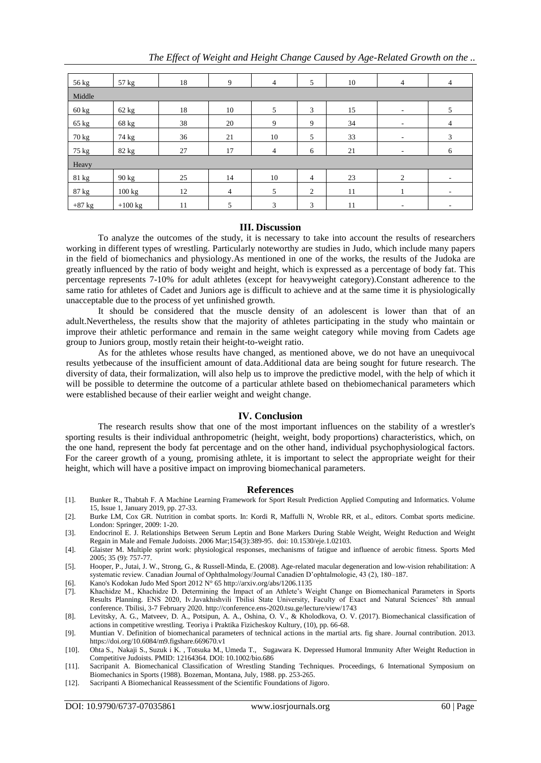| 56 kg    | 57 kg           | 18 | 9              | $\overline{4}$ | 5              | 10 | $\overline{4}$           | 4                        |  |
|----------|-----------------|----|----------------|----------------|----------------|----|--------------------------|--------------------------|--|
| Middle   |                 |    |                |                |                |    |                          |                          |  |
| 60 kg    | $62 \text{ kg}$ | 18 | 10             | 5              | 3              | 15 | $\overline{\phantom{a}}$ | 5                        |  |
| 65 kg    | 68 kg           | 38 | 20             | 9              | 9              | 34 | ۰                        | 4                        |  |
| 70 kg    | 74 kg           | 36 | 21             | 10             | 5              | 33 | $\overline{\phantom{a}}$ | 3                        |  |
| 75 kg    | 82 kg           | 27 | 17             | $\overline{4}$ | 6              | 21 | -                        | 6                        |  |
| Heavy    |                 |    |                |                |                |    |                          |                          |  |
| 81 kg    | 90 kg           | 25 | 14             | 10             | $\overline{4}$ | 23 | 2                        | $\overline{\phantom{a}}$ |  |
| 87 kg    | 100 kg          | 12 | $\overline{4}$ | 5              | $\overline{2}$ | 11 |                          | ٠                        |  |
| $+87$ kg | $+100$ kg       | 11 | 5              | 3              | 3              | 11 |                          |                          |  |

#### **III. Discussion**

To analyze the outcomes of the study, it is necessary to take into account the results of researchers working in different types of wrestling. Particularly noteworthy are studies in Judo, which include many papers in the field of biomechanics and physiology.As mentioned in one of the works, the results of the Judoka are greatly influenced by the ratio of body weight and height, which is expressed as a percentage of body fat. This percentage represents 7-10% for adult athletes (except for heavyweight category).Constant adherence to the same ratio for athletes of Cadet and Juniors age is difficult to achieve and at the same time it is physiologically unacceptable due to the process of yet unfinished growth.

It should be considered that the muscle density of an adolescent is lower than that of an adult.Nevertheless, the results show that the majority of athletes participating in the study who maintain or improve their athletic performance and remain in the same weight category while moving from Cadets age group to Juniors group, mostly retain their height-to-weight ratio.

As for the athletes whose results have changed, as mentioned above, we do not have an unequivocal results yetbecause of the insufficient amount of data.Additional data are being sought for future research. The diversity of data, their formalization, will also help us to improve the predictive model, with the help of which it will be possible to determine the outcome of a particular athlete based on the biomechanical parameters which were established because of their earlier weight and weight change.

#### **IV. Conclusion**

The research results show that one of the most important influences on the stability of a wrestler's sporting results is their individual anthropometric (height, weight, body proportions) characteristics, which, on the one hand, represent the body fat percentage and on the other hand, individual psychophysiological factors. For the career growth of a young, promising athlete, it is important to select the appropriate weight for their height, which will have a positive impact on improving biomechanical parameters.

#### **References**

- [1]. Bunker R., Thabtah F. A Machine Learning Framework for Sport Result Prediction Applied Computing and Informatics. Volume 15, Issue 1, January 2019, pp. 27-33.
- [2]. Burke LM, Cox GR. Nutrition in combat sports. In: Kordi R, Maffulli N, Wroble RR, et al., editors. Combat sports medicine. London: Springer, 2009: 1-20.
- [3]. Endocrinol E. J. Relationships Between Serum Leptin and Bone Markers During Stable Weight, Weight Reduction and Weight Regain in Male and Female Judoists. 2006 Mar;154(3):389-95. doi: 10.1530/eje.1.02103.
- [4]. Glaister M. Multiple sprint work: physiological responses, mechanisms of fatigue and influence of aerobic fitness. Sports Med 2005; 35 (9): 757-77.
- [5]. Hooper, P., Jutai, J. W., Strong, G., & Russell-Minda, E. (2008). Age-related macular degeneration and low-vision rehabilitation: A systematic review. Canadian Journal of Ophthalmology/Journal Canadien D'ophtalmologie, 43 (2), 180-187.
- [6]. Kano's Kodokan Judo Med Sport 2012 N° 6[5 http://arxiv.org/abs/1206.1135](http://arxiv.org/abs/1206.1135)
- [7]. Khachidze M., Khachidze D. Determining the Impact of an Athlete's Weight Change on Biomechanical Parameters in Sports Results Planning. ENS 2020, Iv.Javakhishvili Tbilisi State University, Faculty of Exact and Natural Sciences' 8th annual conference. Tbilisi, 3-7 February 2020. http://conference.ens-2020.tsu.ge/lecture/view/1743
- [8]. Levitsky, A. G., Matveev, D. A., Potsipun, A. A., Oshina, O. V., & Kholodkova, O. V. (2017). Biomechanical classification of actions in competitive wrestling. Teoriya i Praktika Fizicheskoy Kultury, (10), pp. 66-68.
- [9]. Muntian V. Definition of biomechanical parameters of technical actions in the martial arts. fig share. Journal contribution. 2013. https://doi.org/10.6084/m9.figshare.669670.v1
- [10]. Ohta S., [Nakaji](https://pubmed.ncbi.nlm.nih.gov/?term=Nakaji+S&cauthor_id=12164364) S., [Suzuk i K.](https://pubmed.ncbi.nlm.nih.gov/?term=Suzuki+K&cauthor_id=12164364) , [Totsuka](https://pubmed.ncbi.nlm.nih.gov/?term=Totsuka+M&cauthor_id=12164364) M., [Umeda T.,](https://pubmed.ncbi.nlm.nih.gov/?term=Umeda+T&cauthor_id=12164364) [Sugawara](https://pubmed.ncbi.nlm.nih.gov/?term=Sugawara+K&cauthor_id=12164364) K. Depressed Humoral Immunity After Weight Reduction in Competitive Judoists. PMID: 12164364. DOI: [10.1002/bio.686](https://doi.org/10.1002/bio.686)
- [11]. Sacripanit A. Biomechanical Classification of Wrestling Standing Techniques. Proceedings, 6 International Symposium on Biomechanics in Sports (1988)[. Bozeman, Montana, July, 1988.](https://ojs.ub.uni-konstanz.de/cpa/article/view/2147) pp. 253-265.
- [12]. Sacripanti A Biomechanical Reassessment of the Scientific Foundations of Jigoro.